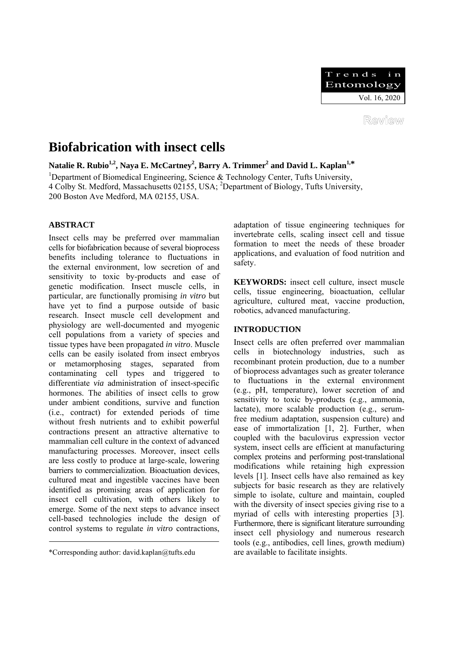

# **Biofabrication with insect cells**

<code>Natalie R. Rubio $^{1,2}$ , Naya E. McCartney $^2$ , Barry A. Trimmer $^2$  and David L. Kaplan $^{1,\ast}$ </code>

<sup>1</sup>Department of Biomedical Engineering, Science & Technology Center, Tufts University, 4 Colby St. Medford, Massachusetts 02155, USA; <sup>2</sup>Department of Biology, Tufts University, 200 Boston Ave Medford, MA 02155, USA.

# **ABSTRACT**

Insect cells may be preferred over mammalian cells for biofabrication because of several bioprocess benefits including tolerance to fluctuations in the external environment, low secretion of and sensitivity to toxic by-products and ease of genetic modification. Insect muscle cells, in particular, are functionally promising *in vitro* but have yet to find a purpose outside of basic research. Insect muscle cell development and physiology are well-documented and myogenic cell populations from a variety of species and tissue types have been propagated *in vitro*. Muscle cells can be easily isolated from insect embryos or metamorphosing stages, separated from contaminating cell types and triggered to differentiate *via* administration of insect-specific hormones. The abilities of insect cells to grow under ambient conditions, survive and function (i.e., contract) for extended periods of time without fresh nutrients and to exhibit powerful contractions present an attractive alternative to mammalian cell culture in the context of advanced manufacturing processes. Moreover, insect cells are less costly to produce at large-scale, lowering barriers to commercialization. Bioactuation devices, cultured meat and ingestible vaccines have been identified as promising areas of application for insect cell cultivation, with others likely to emerge. Some of the next steps to advance insect cell-based technologies include the design of control systems to regulate *in vitro* contractions, adaptation of tissue engineering techniques for invertebrate cells, scaling insect cell and tissue formation to meet the needs of these broader applications, and evaluation of food nutrition and safety.

**KEYWORDS:** insect cell culture, insect muscle cells, tissue engineering, bioactuation, cellular agriculture, cultured meat, vaccine production, robotics, advanced manufacturing.

# **INTRODUCTION**

Insect cells are often preferred over mammalian cells in biotechnology industries, such as recombinant protein production, due to a number of bioprocess advantages such as greater tolerance to fluctuations in the external environment (e.g., pH, temperature), lower secretion of and sensitivity to toxic by-products (e.g., ammonia, lactate), more scalable production (e.g., serumfree medium adaptation, suspension culture) and ease of immortalization [1, 2]. Further, when coupled with the baculovirus expression vector system, insect cells are efficient at manufacturing complex proteins and performing post-translational modifications while retaining high expression levels [1]. Insect cells have also remained as key subjects for basic research as they are relatively simple to isolate, culture and maintain, coupled with the diversity of insect species giving rise to a myriad of cells with interesting properties [3]. Furthermore, there is significant literature surrounding insect cell physiology and numerous research tools (e.g., antibodies, cell lines, growth medium) are available to facilitate insights.

<sup>\*</sup>Corresponding author: david.kaplan@tufts.edu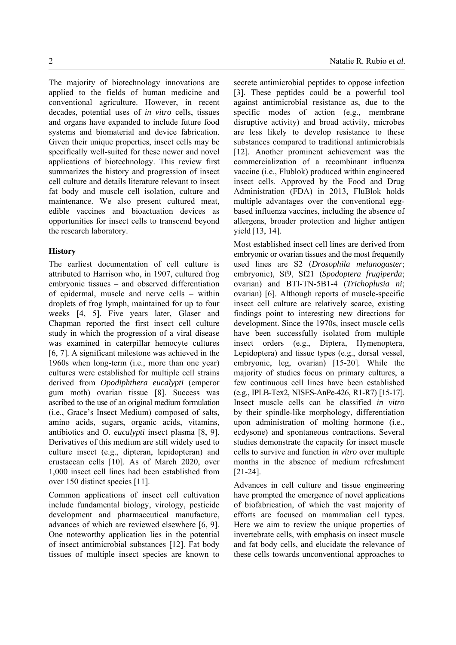The majority of biotechnology innovations are applied to the fields of human medicine and conventional agriculture. However, in recent decades, potential uses of *in vitro* cells, tissues and organs have expanded to include future food systems and biomaterial and device fabrication. Given their unique properties, insect cells may be specifically well-suited for these newer and novel applications of biotechnology. This review first summarizes the history and progression of insect cell culture and details literature relevant to insect fat body and muscle cell isolation, culture and maintenance. We also present cultured meat, edible vaccines and bioactuation devices as opportunities for insect cells to transcend beyond the research laboratory.

#### **History**

The earliest documentation of cell culture is attributed to Harrison who, in 1907, cultured frog embryonic tissues – and observed differentiation of epidermal, muscle and nerve cells – within droplets of frog lymph, maintained for up to four weeks [4, 5]. Five years later, Glaser and Chapman reported the first insect cell culture study in which the progression of a viral disease was examined in caterpillar hemocyte cultures [6, 7]. A significant milestone was achieved in the 1960s when long-term (i.e., more than one year) cultures were established for multiple cell strains derived from *Opodiphthera eucalypti* (emperor gum moth) ovarian tissue [8]. Success was ascribed to the use of an original medium formulation (i.e., Grace's Insect Medium) composed of salts, amino acids, sugars, organic acids, vitamins, antibiotics and *O. eucalypti* insect plasma [8, 9]. Derivatives of this medium are still widely used to culture insect (e.g., dipteran, lepidopteran) and crustacean cells [10]. As of March 2020, over 1,000 insect cell lines had been established from over 150 distinct species [11].

Common applications of insect cell cultivation include fundamental biology, virology, pesticide development and pharmaceutical manufacture, advances of which are reviewed elsewhere [6, 9]. One noteworthy application lies in the potential of insect antimicrobial substances [12]. Fat body tissues of multiple insect species are known to

secrete antimicrobial peptides to oppose infection [3]. These peptides could be a powerful tool against antimicrobial resistance as, due to the specific modes of action (e.g., membrane disruptive activity) and broad activity, microbes are less likely to develop resistance to these substances compared to traditional antimicrobials [12]. Another prominent achievement was the commercialization of a recombinant influenza vaccine (i.e., Flublok) produced within engineered insect cells. Approved by the Food and Drug Administration (FDA) in 2013, FluBlok holds multiple advantages over the conventional eggbased influenza vaccines, including the absence of allergens, broader protection and higher antigen yield [13, 14].

Most established insect cell lines are derived from embryonic or ovarian tissues and the most frequently used lines are S2 (*Drosophila melanogaster*; embryonic), Sf9, Sf21 (*Spodoptera frugiperda*; ovarian) and BTI-TN-5B1-4 (*Trichoplusia ni*; ovarian) [6]. Although reports of muscle-specific insect cell culture are relatively scarce, existing findings point to interesting new directions for development. Since the 1970s, insect muscle cells have been successfully isolated from multiple insect orders (e.g., Diptera, Hymenoptera, Lepidoptera) and tissue types (e.g., dorsal vessel, embryonic, leg, ovarian) [15-20]. While the majority of studies focus on primary cultures, a few continuous cell lines have been established (e.g., IPLB-Tex2, NISES-AnPe-426, R1-R7) [15-17]. Insect muscle cells can be classified *in vitro* by their spindle-like morphology, differentiation upon administration of molting hormone (i.e., ecdysone) and spontaneous contractions. Several studies demonstrate the capacity for insect muscle cells to survive and function *in vitro* over multiple months in the absence of medium refreshment [21-24].

Advances in cell culture and tissue engineering have prompted the emergence of novel applications of biofabrication, of which the vast majority of efforts are focused on mammalian cell types. Here we aim to review the unique properties of invertebrate cells, with emphasis on insect muscle and fat body cells, and elucidate the relevance of these cells towards unconventional approaches to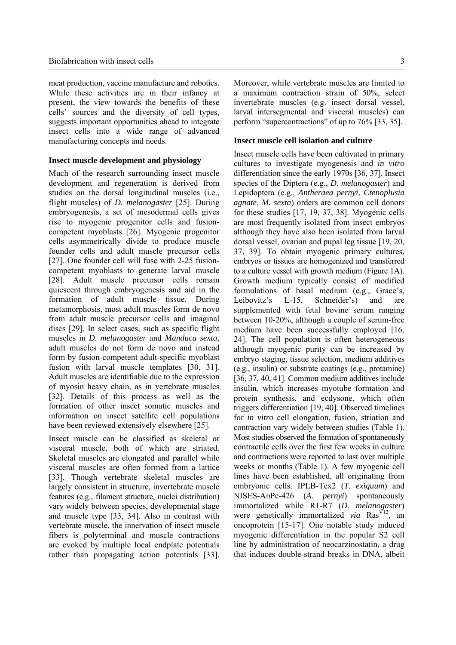meat production, vaccine manufacture and robotics. While these activities are in their infancy at present, the view towards the benefits of these cells' sources and the diversity of cell types, suggests important opportunities ahead to integrate insect cells into a wide range of advanced manufacturing concepts and needs.

#### **Insect muscle development and physiology**

Much of the research surrounding insect muscle development and regeneration is derived from studies on the dorsal longitudinal muscles (i.e., flight muscles) of *D. melanogaster* [25]. During embryogenesis, a set of mesodermal cells gives rise to myogenic progenitor cells and fusioncompetent myoblasts [26]. Myogenic progenitor cells asymmetrically divide to produce muscle founder cells and adult muscle precursor cells [27]. One founder cell will fuse with 2-25 fusioncompetent myoblasts to generate larval muscle [28]. Adult muscle precursor cells remain quiescent through embryogenesis and aid in the formation of adult muscle tissue. During metamorphosis, most adult muscles form de novo from adult muscle precursor cells and imaginal discs [29]. In select cases, such as specific flight muscles in *D. melanogaster* and *Manduca sexta*, adult muscles do not form de novo and instead form by fusion-competent adult-specific myoblast fusion with larval muscle templates [30, 31]. Adult muscles are identifiable due to the expression of myosin heavy chain, as in vertebrate muscles [32]. Details of this process as well as the formation of other insect somatic muscles and information on insect satellite cell populations have been reviewed extensively elsewhere [25].

Insect muscle can be classified as skeletal or visceral muscle, both of which are striated. Skeletal muscles are elongated and parallel while visceral muscles are often formed from a lattice [33]. Though vertebrate skeletal muscles are largely consistent in structure, invertebrate muscle features (e.g., filament structure, nuclei distribution) vary widely between species, developmental stage and muscle type [33, 34]. Also in contrast with vertebrate muscle, the innervation of insect muscle fibers is polyterminal and muscle contractions are evoked by multiple local endplate potentials rather than propagating action potentials [33].

Moreover, while vertebrate muscles are limited to a maximum contraction strain of 50%, select invertebrate muscles (e.g. insect dorsal vessel, larval intersegmental and visceral muscles) can perform "supercontractions" of up to 76% [33, 35].

#### **Insect muscle cell isolation and culture**

Insect muscle cells have been cultivated in primary cultures to investigate myogenesis and *in vitro*  differentiation since the early 1970s [36, 37]. Insect species of the Diptera (e.g., *D. melanogaster*) and Lepidoptera (e.g., *Antheraea pernyi*, *Ctenoplusia agnate*, *M. sexta*) orders are common cell donors for these studies [17, 19, 37, 38]. Myogenic cells are most frequently isolated from insect embryos although they have also been isolated from larval dorsal vessel, ovarian and pupal leg tissue [19, 20, 37, 39]. To obtain myogenic primary cultures, embryos or tissues are homogenized and transferred to a culture vessel with growth medium (Figure 1A). Growth medium typically consist of modified formulations of basal medium (e.g., Grace's, Leibovitz's L-15, Schneider's) and are supplemented with fetal bovine serum ranging between 10-20%, although a couple of serum-free medium have been successfully employed [16, 24]. The cell population is often heterogeneous although myogenic purity can be increased by embryo staging, tissue selection, medium additives (e.g., insulin) or substrate coatings (e.g., protamine) [36, 37, 40, 41]. Common medium additives include insulin, which increases myotube formation and protein synthesis, and ecdysone, which often triggers differentiation [19, 40]. Observed timelines for *in vitro* cell elongation, fusion, striation and contraction vary widely between studies (Table 1). Most studies observed the formation of spontaneously contractile cells over the first few weeks in culture and contractions were reported to last over multiple weeks or months (Table 1). A few myogenic cell lines have been established, all originating from embryonic cells. IPLB-Tex2 (*T. exiguum*) and NISES-AnPe-426 (*A. pernyi*) spontaneously immortalized while R1-R7 (*D. melanogaster*) were genetically immortalized *via* Ras<sup>V12</sup>, an oncoprotein [15-17]. One notable study induced myogenic differentiation in the popular S2 cell line by administration of neocarzinostatin, a drug that induces double-strand breaks in DNA, albeit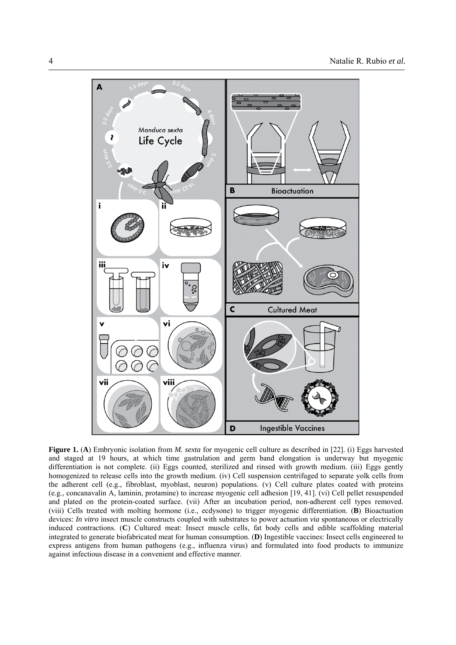

**Figure 1.** (**A**) Embryonic isolation from *M. sexta* for myogenic cell culture as described in [22]. (i) Eggs harvested and staged at 19 hours, at which time gastrulation and germ band elongation is underway but myogenic differentiation is not complete. (ii) Eggs counted, sterilized and rinsed with growth medium. (iii) Eggs gently homogenized to release cells into the growth medium. (iv) Cell suspension centrifuged to separate yolk cells from the adherent cell (e.g., fibroblast, myoblast, neuron) populations. (v) Cell culture plates coated with proteins (e.g., concanavalin A, laminin, protamine) to increase myogenic cell adhesion [19, 41]. (vi) Cell pellet resuspended and plated on the protein-coated surface. (vii) After an incubation period, non-adherent cell types removed. (viii) Cells treated with molting hormone (i.e., ecdysone) to trigger myogenic differentiation. (**B**) Bioactuation devices: *In vitro* insect muscle constructs coupled with substrates to power actuation *via* spontaneous or electrically induced contractions. (**C**) Cultured meat: Insect muscle cells, fat body cells and edible scaffolding material integrated to generate biofabricated meat for human consumption. (**D**) Ingestible vaccines: Insect cells engineered to express antigens from human pathogens (e.g., influenza virus) and formulated into food products to immunize against infectious disease in a convenient and effective manner.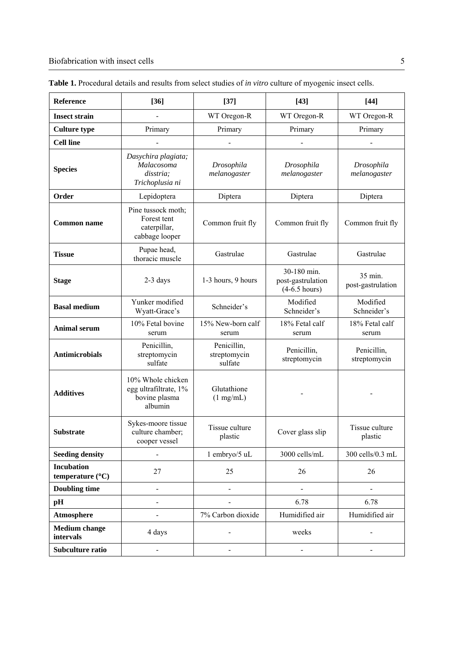| Reference                             | $[36]$                                                                 | $[37]$                                 | $[43]$                                              | $[44]$                       |
|---------------------------------------|------------------------------------------------------------------------|----------------------------------------|-----------------------------------------------------|------------------------------|
| <b>Insect strain</b>                  |                                                                        | WT Oregon-R                            | WT Oregon-R                                         | WT Oregon-R                  |
| <b>Culture type</b>                   | Primary                                                                | Primary                                | Primary                                             | Primary                      |
| <b>Cell line</b>                      |                                                                        |                                        |                                                     |                              |
| <b>Species</b>                        | Dasychira plagiata;<br>Malacosoma<br>disstria;<br>Trichoplusia ni      | Drosophila<br>melanogaster             | Drosophila<br>melanogaster                          | Drosophila<br>melanogaster   |
| Order                                 | Lepidoptera                                                            | Diptera                                | Diptera                                             | Diptera                      |
| <b>Common name</b>                    | Pine tussock moth;<br>Forest tent<br>caterpillar,<br>cabbage looper    | Common fruit fly                       | Common fruit fly                                    | Common fruit fly             |
| <b>Tissue</b>                         | Pupae head,<br>thoracic muscle                                         | Gastrulae                              | Gastrulae                                           | Gastrulae                    |
| <b>Stage</b>                          | $2-3$ days                                                             | 1-3 hours, 9 hours                     | 30-180 min.<br>post-gastrulation<br>$(4-6.5$ hours) | 35 min.<br>post-gastrulation |
| <b>Basal medium</b>                   | Yunker modified<br>Wyatt-Grace's                                       | Schneider's                            | Modified<br>Schneider's                             | Modified<br>Schneider's      |
| <b>Animal serum</b>                   | 10% Fetal bovine<br>serum                                              | 15% New-born calf<br>serum             | 18% Fetal calf<br>serum                             | 18% Fetal calf<br>serum      |
| <b>Antimicrobials</b>                 | Penicillin,<br>streptomycin<br>sulfate                                 | Penicillin,<br>streptomycin<br>sulfate | Penicillin,<br>streptomycin                         | Penicillin,<br>streptomycin  |
| <b>Additives</b>                      | 10% Whole chicken<br>egg ultrafiltrate, 1%<br>bovine plasma<br>albumin | Glutathione<br>(1 mg/mL)               |                                                     |                              |
| <b>Substrate</b>                      | Sykes-moore tissue<br>culture chamber;<br>cooper vessel                | Tissue culture<br>plastic              | Cover glass slip                                    | Tissue culture<br>plastic    |
| <b>Seeding density</b>                | $\blacksquare$                                                         | 1 embryo/5 uL                          | 3000 cells/mL                                       | 300 cells/0.3 mL             |
| <b>Incubation</b><br>temperature (°C) | 27                                                                     | 25                                     | 26                                                  | 26                           |
| <b>Doubling time</b>                  | $\overline{\phantom{0}}$                                               | $\blacksquare$                         | $\overline{a}$                                      |                              |
| pH                                    | $\blacksquare$                                                         | $\qquad \qquad \blacksquare$           | 6.78                                                | 6.78                         |
| <b>Atmosphere</b>                     | $\blacksquare$                                                         | 7% Carbon dioxide                      | Humidified air                                      | Humidified air               |
| <b>Medium</b> change<br>intervals     | 4 days                                                                 |                                        | weeks                                               |                              |
| Subculture ratio                      | $\overline{a}$                                                         |                                        | $\overline{\phantom{0}}$                            |                              |

**Table 1.** Procedural details and results from select studies of *in vitro* culture of myogenic insect cells.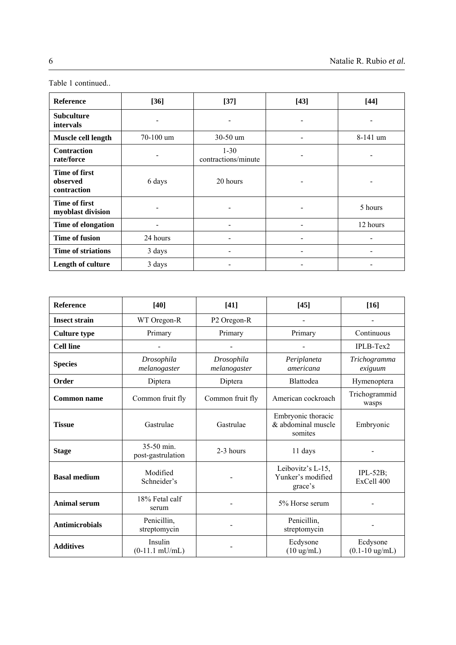| <b>Reference</b>                                | $[36]$    | $[37]$                          | $[43]$ | $[44]$     |
|-------------------------------------------------|-----------|---------------------------------|--------|------------|
| <b>Subculture</b><br><i>intervals</i>           |           |                                 | ٠      |            |
| Muscle cell length                              | 70-100 um | $30-50$ um                      |        | $8-141$ um |
| <b>Contraction</b><br>rate/force                |           | $1 - 30$<br>contractions/minute |        |            |
| <b>Time of first</b><br>observed<br>contraction | 6 days    | 20 hours                        |        |            |
| <b>Time of first</b><br>myoblast division       |           |                                 |        | 5 hours    |
| Time of elongation                              |           |                                 |        | 12 hours   |
| <b>Time of fusion</b>                           | 24 hours  |                                 |        |            |
| <b>Time of striations</b>                       | 3 days    |                                 |        |            |
| Length of culture                               | 3 days    |                                 |        |            |

| <b>Reference</b>      | $[40]$                              | $[41]$                     | [45]                                                | $[16]$                         |
|-----------------------|-------------------------------------|----------------------------|-----------------------------------------------------|--------------------------------|
| <b>Insect strain</b>  | WT Oregon-R                         | P2 Oregon-R                |                                                     |                                |
| <b>Culture type</b>   | Primary                             | Primary                    | Primary                                             | Continuous                     |
| <b>Cell line</b>      |                                     |                            |                                                     | IPLB-Tex2                      |
| <b>Species</b>        | Drosophila<br>melanogaster          | Drosophila<br>melanogaster | Periplaneta<br>americana                            | Trichogramma<br>exiguum        |
| Order                 | Diptera                             | Diptera                    | Blattodea                                           | Hymenoptera                    |
| <b>Common name</b>    | Common fruit fly                    | Common fruit fly           | American cockroach                                  | Trichogrammid<br>wasps         |
| <b>Tissue</b>         | Gastrulae                           | Gastrulae                  | Embryonic thoracic<br>& abdominal muscle<br>somites | Embryonic                      |
| <b>Stage</b>          | $35-50$ min.<br>post-gastrulation   | 2-3 hours                  | 11 days                                             |                                |
| <b>Basal medium</b>   | Modified<br>Schneider's             |                            | Leibovitz's L-15,<br>Yunker's modified<br>grace's   | $IPL-52B$ ;<br>ExCell 400      |
| <b>Animal serum</b>   | 18% Fetal calf<br>serum             |                            | 5% Horse serum                                      |                                |
| <b>Antimicrobials</b> | Penicillin,<br>streptomycin         |                            | Penicillin,<br>streptomycin                         |                                |
| <b>Additives</b>      | Insulin<br>$(0-11.1 \text{ mU/mL})$ |                            | Ecdysone<br>$(10 \text{ ug/mL})$                    | Ecdysone<br>$(0.1 - 10$ ug/mL) |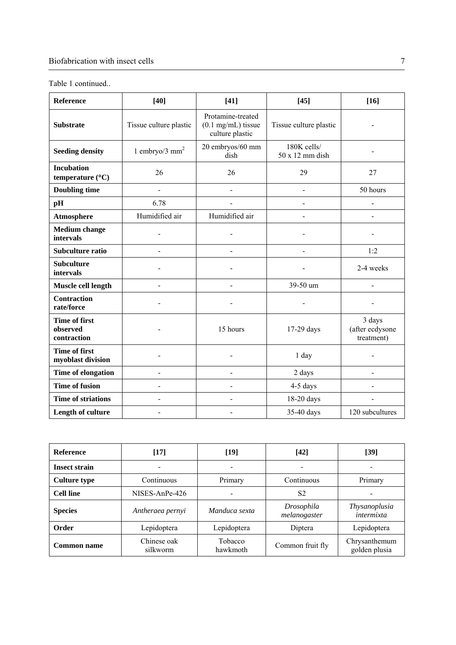| <b>Reference</b>                                | $[40]$                   | $[41]$                                                       | $[45]$                         | $[16]$                                  |
|-------------------------------------------------|--------------------------|--------------------------------------------------------------|--------------------------------|-----------------------------------------|
| <b>Substrate</b>                                | Tissue culture plastic   | Protamine-treated<br>$(0.1$ mg/mL) tissue<br>culture plastic | Tissue culture plastic         |                                         |
| <b>Seeding density</b>                          | 1 embryo/3 $mm2$         | 20 embryos/60 mm<br>dish                                     | 180K cells/<br>50 x 12 mm dish |                                         |
| <b>Incubation</b><br>temperature (°C)           | 26                       | 26                                                           | 29                             | 27                                      |
| <b>Doubling time</b>                            | $\blacksquare$           |                                                              | $\blacksquare$                 | 50 hours                                |
| pH                                              | 6.78                     |                                                              |                                |                                         |
| Atmosphere                                      | Humidified air           | Humidified air                                               |                                |                                         |
| <b>Medium</b> change<br>intervals               |                          |                                                              |                                |                                         |
| Subculture ratio                                | $\blacksquare$           |                                                              | $\overline{a}$                 | 1:2                                     |
| <b>Subculture</b><br>intervals                  |                          |                                                              |                                | 2-4 weeks                               |
| Muscle cell length                              | $\overline{\phantom{a}}$ | $\qquad \qquad \blacksquare$                                 | 39-50 um                       | $\blacksquare$                          |
| <b>Contraction</b><br>rate/force                |                          |                                                              |                                |                                         |
| <b>Time of first</b><br>observed<br>contraction |                          | 15 hours                                                     | 17-29 days                     | 3 days<br>(after ecdysone<br>treatment) |
| <b>Time of first</b><br>myoblast division       |                          |                                                              | 1 day                          |                                         |
| Time of elongation                              |                          |                                                              | 2 days                         |                                         |
| <b>Time of fusion</b>                           |                          |                                                              | 4-5 days                       |                                         |
| <b>Time of striations</b>                       | $\blacksquare$           |                                                              | 18-20 days                     |                                         |
| Length of culture                               |                          |                                                              | 35-40 days                     | 120 subcultures                         |

| <b>Reference</b>     | $[17]$                  | $[19]$              | $[42]$                     | $[39]$                         |
|----------------------|-------------------------|---------------------|----------------------------|--------------------------------|
| <b>Insect strain</b> |                         |                     |                            |                                |
| <b>Culture type</b>  | Continuous              | Primary             | Continuous                 | Primary                        |
| <b>Cell line</b>     | NISES-AnPe-426          |                     | S <sub>2</sub>             |                                |
| <b>Species</b>       | Antheraea pernyi        | Manduca sexta       | Drosophila<br>melanogaster | Thysanoplusia<br>intermixta    |
| Order                | Lepidoptera             | Lepidoptera         | Diptera                    | Lepidoptera                    |
| Common name          | Chinese oak<br>silkworm | Tobacco<br>hawkmoth | Common fruit fly           | Chrysanthemum<br>golden plusia |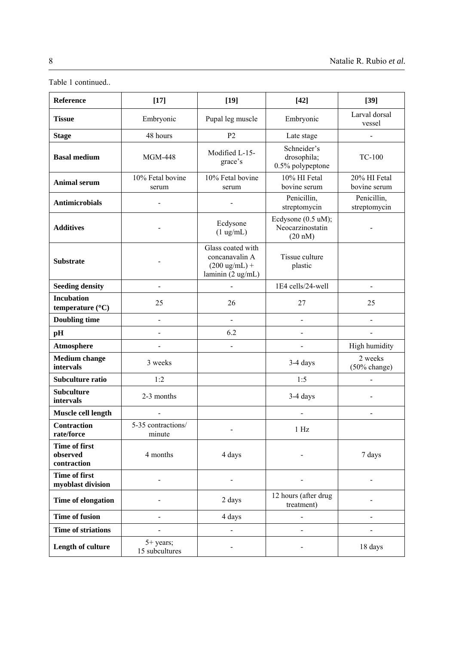| Reference                                       | $[17]$                        | $[19]$                                                                              | $[42]$                                            | $[39]$                       |
|-------------------------------------------------|-------------------------------|-------------------------------------------------------------------------------------|---------------------------------------------------|------------------------------|
| <b>Tissue</b>                                   | Embryonic                     | Pupal leg muscle                                                                    | Embryonic                                         | Larval dorsal<br>vessel      |
| <b>Stage</b>                                    | 48 hours                      | P <sub>2</sub>                                                                      | Late stage                                        |                              |
| <b>Basal medium</b>                             | <b>MGM-448</b>                | Modified L-15-<br>grace's                                                           | Schneider's<br>drosophila;<br>0.5% polypeptone    | <b>TC-100</b>                |
| <b>Animal serum</b>                             | 10% Fetal bovine<br>serum     | 10% Fetal bovine<br>serum                                                           | 10% HI Fetal<br>bovine serum                      | 20% HI Fetal<br>bovine serum |
| <b>Antimicrobials</b>                           | $\overline{a}$                |                                                                                     | Penicillin,<br>streptomycin                       | Penicillin,<br>streptomycin  |
| <b>Additives</b>                                |                               | Ecdysone<br>$(1 \text{ ug/mL})$                                                     | Ecdysone (0.5 uM);<br>Neocarzinostatin<br>(20 nM) |                              |
| <b>Substrate</b>                                |                               | Glass coated with<br>concanavalin A<br>$(200 \text{ ug/mL}) +$<br>laminin (2 ug/mL) | Tissue culture<br>plastic                         |                              |
| <b>Seeding density</b>                          | $\blacksquare$                |                                                                                     | 1E4 cells/24-well                                 | $\blacksquare$               |
| <b>Incubation</b><br>temperature (°C)           | 25                            | 26                                                                                  | 27                                                | 25                           |
| <b>Doubling time</b>                            | $\blacksquare$                | $\blacksquare$                                                                      | $\blacksquare$                                    |                              |
| pH                                              |                               | 6.2                                                                                 |                                                   |                              |
| Atmosphere                                      | $\overline{a}$                | $\overline{a}$                                                                      | L,                                                | High humidity                |
| <b>Medium</b> change<br>intervals               | 3 weeks                       |                                                                                     | 3-4 days                                          | 2 weeks<br>(50% change)      |
| Subculture ratio                                | 1:2                           |                                                                                     | 1:5                                               |                              |
| <b>Subculture</b><br>intervals                  | 2-3 months                    |                                                                                     | 3-4 days                                          |                              |
| Muscle cell length                              | $\overline{a}$                |                                                                                     | $\overline{a}$                                    | $\blacksquare$               |
| <b>Contraction</b><br>rate/force                | 5-35 contractions/<br>minute  | $\blacksquare$                                                                      | 1 Hz                                              |                              |
| <b>Time of first</b><br>observed<br>contraction | 4 months                      | 4 days                                                                              |                                                   | 7 days                       |
| <b>Time of first</b><br>myoblast division       |                               |                                                                                     |                                                   |                              |
| Time of elongation                              |                               | 2 days                                                                              | 12 hours (after drug<br>treatment)                |                              |
| <b>Time of fusion</b>                           |                               | 4 days                                                                              |                                                   |                              |
| <b>Time of striations</b>                       |                               | $\frac{1}{2}$                                                                       | $\overline{a}$                                    | $\sim$                       |
| Length of culture                               | $5+$ years;<br>15 subcultures | $\blacksquare$                                                                      | $\blacksquare$                                    | 18 days                      |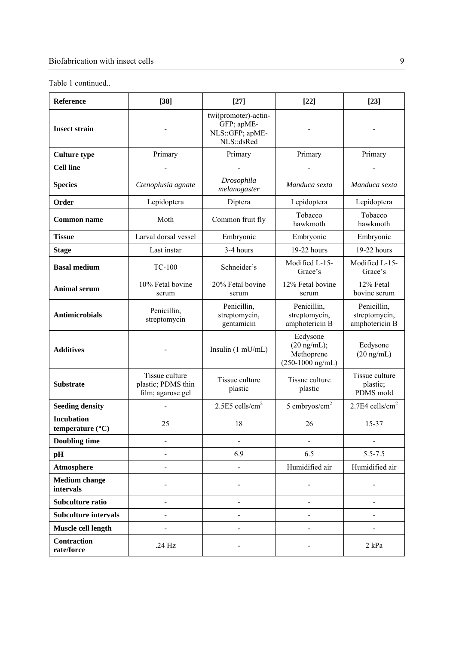| Reference                                      | $[38]$                                                    | $[27]$                                                                | $[22]$                                                                        | $[23]$                                         |
|------------------------------------------------|-----------------------------------------------------------|-----------------------------------------------------------------------|-------------------------------------------------------------------------------|------------------------------------------------|
| <b>Insect strain</b>                           |                                                           | twi(promoter)-actin-<br>GFP; apME-<br>NLS: : GFP; apME-<br>NLS::dsRed |                                                                               |                                                |
| <b>Culture type</b>                            | Primary                                                   | Primary                                                               | Primary                                                                       | Primary                                        |
| <b>Cell line</b>                               |                                                           |                                                                       |                                                                               |                                                |
| <b>Species</b>                                 | Ctenoplusia agnate                                        | Drosophila<br>melanogaster                                            | Manduca sexta                                                                 | Manduca sexta                                  |
| Order                                          | Lepidoptera                                               | Diptera                                                               | Lepidoptera                                                                   | Lepidoptera                                    |
| <b>Common name</b>                             | Moth                                                      | Common fruit fly                                                      | Tobacco<br>hawkmoth                                                           | Tobacco<br>hawkmoth                            |
| <b>Tissue</b>                                  | Larval dorsal vessel                                      | Embryonic                                                             | Embryonic                                                                     | Embryonic                                      |
| <b>Stage</b>                                   | Last instar                                               | 3-4 hours                                                             | 19-22 hours                                                                   | 19-22 hours                                    |
| <b>Basal medium</b>                            | <b>TC-100</b>                                             | Schneider's                                                           | Modified L-15-<br>Grace's                                                     | Modified L-15-<br>Grace's                      |
| <b>Animal serum</b>                            | 10% Fetal bovine<br>serum                                 | 20% Fetal bovine<br>serum                                             | 12% Fetal bovine<br>serum                                                     | 12% Fetal<br>bovine serum                      |
| <b>Antimicrobials</b>                          | Penicillin,<br>streptomycin                               | Penicillin,<br>streptomycin,<br>gentamicin                            | Penicillin,<br>streptomycin,<br>amphotericin B                                | Penicillin,<br>streptomycin,<br>amphotericin B |
| <b>Additives</b>                               |                                                           | Insulin $(1 \text{ mU/mL})$                                           | Ecdysone<br>$(20 \text{ ng/mL});$<br>Methoprene<br>$(250-1000 \text{ ng/mL})$ | Ecdysone<br>$(20 \text{ ng/mL})$               |
| <b>Substrate</b>                               | Tissue culture<br>plastic; PDMS thin<br>film; agarose gel | Tissue culture<br>plastic                                             | Tissue culture<br>plastic                                                     | Tissue culture<br>plastic;<br>PDMS mold        |
| <b>Seeding density</b>                         |                                                           | 2.5E5 cells/cm <sup>2</sup>                                           | 5 embryos/ $cm2$                                                              | 2.7E4 cells/cm <sup>2</sup>                    |
| <b>Incubation</b><br>temperature $(^{\circ}C)$ | 25                                                        | 18                                                                    | 26                                                                            | 15-37                                          |
| <b>Doubling time</b>                           |                                                           |                                                                       |                                                                               |                                                |
| pH                                             |                                                           | 6.9                                                                   | 6.5                                                                           | $5.5 - 7.5$                                    |
| Atmosphere                                     |                                                           |                                                                       | Humidified air                                                                | Humidified air                                 |
| <b>Medium change</b><br>intervals              |                                                           |                                                                       |                                                                               |                                                |
| Subculture ratio                               | $\blacksquare$                                            |                                                                       | $\overline{\phantom{0}}$                                                      |                                                |
| <b>Subculture intervals</b>                    |                                                           |                                                                       |                                                                               |                                                |
| Muscle cell length                             |                                                           |                                                                       | $\overline{\phantom{0}}$                                                      |                                                |
| <b>Contraction</b><br>rate/force               | .24 Hz                                                    |                                                                       |                                                                               | $2$ kPa                                        |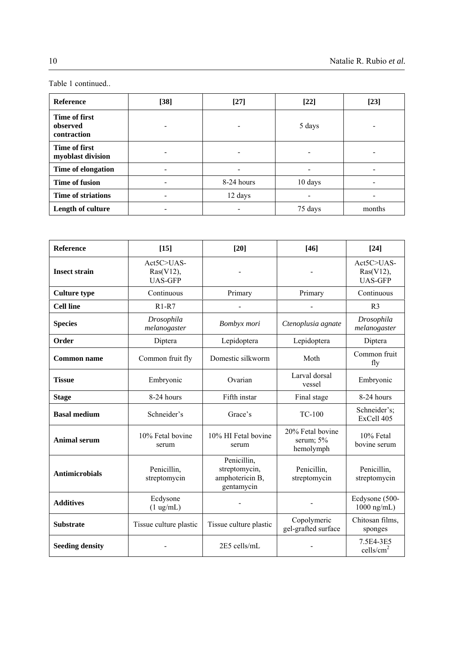| <b>Reference</b>                         | $[38]$                       | $[27]$     | $[22]$  | $[23]$ |
|------------------------------------------|------------------------------|------------|---------|--------|
| Time of first<br>observed<br>contraction | -                            |            | 5 days  |        |
| Time of first<br>myoblast division       | $\qquad \qquad \blacksquare$ |            |         |        |
| Time of elongation                       |                              |            |         |        |
| <b>Time of fusion</b>                    | $\qquad \qquad \blacksquare$ | 8-24 hours | 10 days |        |
| Time of striations                       | $\qquad \qquad \blacksquare$ | 12 days    |         |        |
| Length of culture                        | $\overline{\phantom{a}}$     |            | 75 days | months |

| Reference              | $[15]$                                       | $[20]$                                                        | $[46]$                                     | $[24]$                                       |
|------------------------|----------------------------------------------|---------------------------------------------------------------|--------------------------------------------|----------------------------------------------|
| <b>Insect strain</b>   | Act5C>UAS-<br>$Ras(V12)$ ,<br><b>UAS-GFP</b> |                                                               |                                            | Act5C>UAS-<br>$Ras(V12)$ ,<br><b>UAS-GFP</b> |
| <b>Culture type</b>    | Continuous                                   | Primary                                                       | Primary                                    | Continuous                                   |
| <b>Cell line</b>       | $R1 - R7$                                    |                                                               |                                            | R <sub>3</sub>                               |
| <b>Species</b>         | Drosophila<br>melanogaster                   | Bombyx mori                                                   | Ctenoplusia agnate                         | Drosophila<br>melanogaster                   |
| Order                  | Diptera                                      | Lepidoptera                                                   | Lepidoptera                                | Diptera                                      |
| <b>Common name</b>     | Common fruit fly                             | Domestic silkworm                                             | Moth                                       | Common fruit<br>fly                          |
| <b>Tissue</b>          | Embryonic                                    | Ovarian                                                       | Larval dorsal<br>vessel                    | Embryonic                                    |
| <b>Stage</b>           | 8-24 hours                                   | Fifth instar                                                  | Final stage                                | 8-24 hours                                   |
| <b>Basal medium</b>    | Schneider's                                  | Grace's                                                       | <b>TC-100</b>                              | Schneider's;<br>ExCell 405                   |
| <b>Animal serum</b>    | 10% Fetal bovine<br>serum                    | 10% HI Fetal bovine<br>serum                                  | 20% Fetal bovine<br>serum; 5%<br>hemolymph | 10% Fetal<br>bovine serum                    |
| <b>Antimicrobials</b>  | Penicillin,<br>streptomycin                  | Penicillin,<br>streptomycin,<br>amphotericin B,<br>gentamycin | Penicillin,<br>streptomycin                | Penicillin,<br>streptomycin                  |
| <b>Additives</b>       | Ecdysone<br>$(1 \text{ ug/mL})$              |                                                               |                                            | Ecdysone (500-<br>$1000$ ng/mL)              |
| <b>Substrate</b>       | Tissue culture plastic                       | Tissue culture plastic                                        | Copolymeric<br>gel-grafted surface         | Chitosan films,<br>sponges                   |
| <b>Seeding density</b> |                                              | 2E5 cells/mL                                                  |                                            | 7.5E4-3E5<br>cells/ $cm2$                    |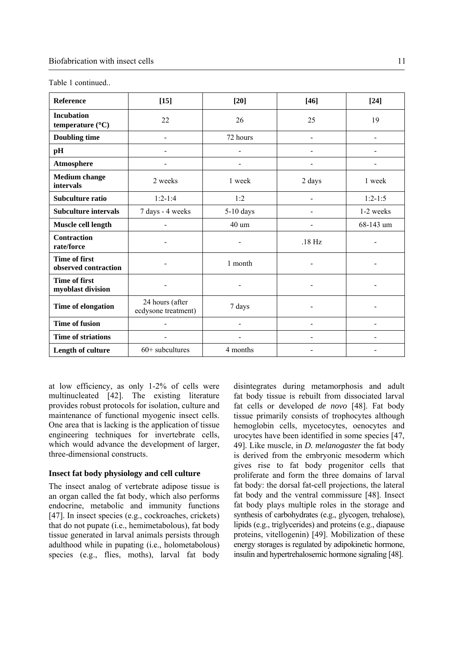| Reference                                    | $[15]$                                 | $[20]$                   | $[46]$                       | $[24]$                       |
|----------------------------------------------|----------------------------------------|--------------------------|------------------------------|------------------------------|
| <b>Incubation</b><br>temperature (°C)        | 22                                     | 26                       | 25                           | 19                           |
| <b>Doubling time</b>                         | $\blacksquare$                         | 72 hours                 | $\blacksquare$               | $\blacksquare$               |
| pH                                           | $\overline{\phantom{0}}$               |                          |                              |                              |
| Atmosphere                                   | $\overline{\phantom{0}}$               | $\blacksquare$           | $\blacksquare$               | $\qquad \qquad \blacksquare$ |
| <b>Medium</b> change<br>intervals            | 2 weeks                                | 1 week                   | 2 days                       | 1 week                       |
| Subculture ratio                             | $1:2-1:4$                              | 1:2                      | $\qquad \qquad \blacksquare$ | $1:2-1:5$                    |
| <b>Subculture intervals</b>                  | 7 days - 4 weeks                       | $5-10$ days              |                              | 1-2 weeks                    |
| Muscle cell length                           | $\overline{\phantom{0}}$               | 40 um                    |                              | 68-143 um                    |
| <b>Contraction</b><br>rate/force             |                                        |                          | $.18$ Hz                     |                              |
| <b>Time of first</b><br>observed contraction |                                        | 1 month                  |                              |                              |
| <b>Time of first</b><br>myoblast division    |                                        |                          |                              |                              |
| Time of elongation                           | 24 hours (after<br>ecdysone treatment) | 7 days                   |                              |                              |
| <b>Time of fusion</b>                        | $\overline{\phantom{0}}$               | $\overline{a}$           | $\overline{\phantom{a}}$     | $\overline{a}$               |
| <b>Time of striations</b>                    | $\overline{\phantom{0}}$               | $\overline{\phantom{0}}$ | -                            | $\blacksquare$               |
| Length of culture                            | $60+$ subcultures                      | 4 months                 |                              |                              |

at low efficiency, as only 1-2% of cells were multinucleated [42]. The existing literature provides robust protocols for isolation, culture and maintenance of functional myogenic insect cells. One area that is lacking is the application of tissue engineering techniques for invertebrate cells, which would advance the development of larger, three-dimensional constructs.

## **Insect fat body physiology and cell culture**

The insect analog of vertebrate adipose tissue is an organ called the fat body, which also performs endocrine, metabolic and immunity functions [47]. In insect species (e.g., cockroaches, crickets) that do not pupate (i.e., hemimetabolous), fat body tissue generated in larval animals persists through adulthood while in pupating (i.e., holometabolous) species (e.g., flies, moths), larval fat body disintegrates during metamorphosis and adult fat body tissue is rebuilt from dissociated larval fat cells or developed *de novo* [48]. Fat body tissue primarily consists of trophocytes although hemoglobin cells, mycetocytes, oenocytes and urocytes have been identified in some species [47, 49]. Like muscle, in *D. melanogaster* the fat body is derived from the embryonic mesoderm which gives rise to fat body progenitor cells that proliferate and form the three domains of larval fat body: the dorsal fat-cell projections, the lateral fat body and the ventral commissure [48]. Insect fat body plays multiple roles in the storage and synthesis of carbohydrates (e.g., glycogen, trehalose), lipids (e.g., triglycerides) and proteins (e.g., diapause proteins, vitellogenin) [49]. Mobilization of these energy storages is regulated by adipokinetic hormone, insulin and hypertrehalosemic hormone signaling [48].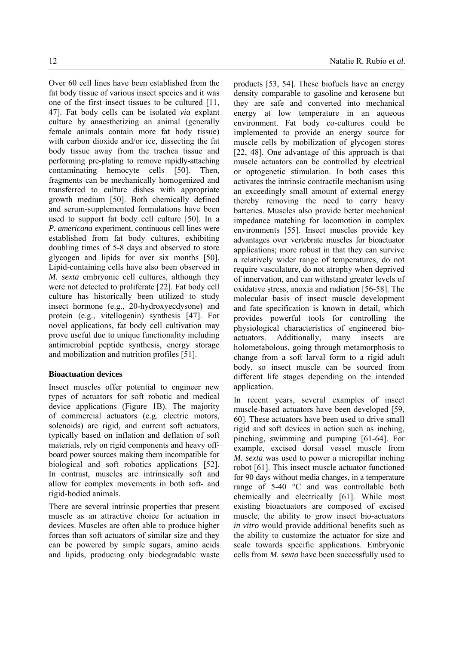Over 60 cell lines have been established from the fat body tissue of various insect species and it was one of the first insect tissues to be cultured [11, 47]. Fat body cells can be isolated *via* explant culture by anaesthetizing an animal (generally female animals contain more fat body tissue) with carbon dioxide and/or ice, dissecting the fat body tissue away from the trachea tissue and performing pre-plating to remove rapidly-attaching contaminating hemocyte cells [50]. Then, fragments can be mechanically homogenized and transferred to culture dishes with appropriate growth medium [50]. Both chemically defined and serum-supplemented formulations have been used to support fat body cell culture [50]. In a *P. americana* experiment, continuous cell lines were established from fat body cultures, exhibiting doubling times of 5-8 days and observed to store glycogen and lipids for over six months [50]. Lipid-containing cells have also been observed in *M. sexta* embryonic cell cultures, although they were not detected to proliferate [22]. Fat body cell culture has historically been utilized to study insect hormone (e.g., 20-hydroxyecdysone) and protein (e.g., vitellogenin) synthesis [47]. For novel applications, fat body cell cultivation may prove useful due to unique functionality including antimicrobial peptide synthesis, energy storage and mobilization and nutrition profiles [51].

## **Bioactuation devices**

Insect muscles offer potential to engineer new types of actuators for soft robotic and medical device applications (Figure 1B). The majority of commercial actuators (e.g. electric motors, solenoids) are rigid, and current soft actuators, typically based on inflation and deflation of soft materials, rely on rigid components and heavy offboard power sources making them incompatible for biological and soft robotics applications [52]. In contrast, muscles are intrinsically soft and allow for complex movements in both soft- and rigid-bodied animals.

There are several intrinsic properties that present muscle as an attractive choice for actuation in devices. Muscles are often able to produce higher forces than soft actuators of similar size and they can be powered by simple sugars, amino acids and lipids, producing only biodegradable waste products [53, 54]. These biofuels have an energy density comparable to gasoline and kerosene but they are safe and converted into mechanical energy at low temperature in an aqueous environment. Fat body co-cultures could be implemented to provide an energy source for muscle cells by mobilization of glycogen stores [22, 48]. One advantage of this approach is that muscle actuators can be controlled by electrical or optogenetic stimulation. In both cases this activates the intrinsic contractile mechanism using an exceedingly small amount of external energy thereby removing the need to carry heavy batteries. Muscles also provide better mechanical impedance matching for locomotion in complex environments [55]. Insect muscles provide key advantages over vertebrate muscles for bioactuator applications; more robust in that they can survive a relatively wider range of temperatures, do not require vasculature, do not atrophy when deprived of innervation, and can withstand greater levels of oxidative stress, anoxia and radiation [56-58]. The molecular basis of insect muscle development and fate specification is known in detail, which provides powerful tools for controlling the physiological characteristics of engineered bioactuators. Additionally, many insects are holometabolous, going through metamorphosis to change from a soft larval form to a rigid adult body, so insect muscle can be sourced from different life stages depending on the intended application.

In recent years, several examples of insect muscle-based actuators have been developed [59, 60]. These actuators have been used to drive small rigid and soft devices in action such as inching, pinching, swimming and pumping [61-64]. For example, excised dorsal vessel muscle from *M. sexta* was used to power a micropillar inching robot [61]. This insect muscle actuator functioned for 90 days without media changes, in a temperature range of 5-40 °C and was controllable both chemically and electrically [61]. While most existing bioactuators are composed of excised muscle, the ability to grow insect bio-actuators *in vitro* would provide additional benefits such as the ability to customize the actuator for size and scale towards specific applications. Embryonic cells from *M. sexta* have been successfully used to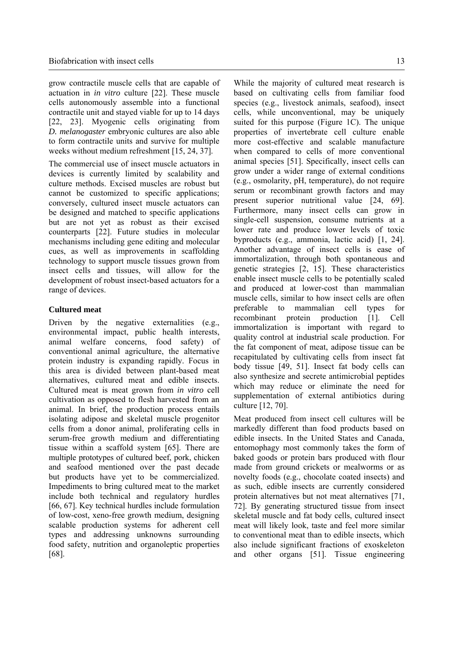grow contractile muscle cells that are capable of actuation in *in vitro* culture [22]. These muscle cells autonomously assemble into a functional contractile unit and stayed viable for up to 14 days [22, 23]. Myogenic cells originating from *D. melanogaster* embryonic cultures are also able to form contractile units and survive for multiple weeks without medium refreshment [15, 24, 37].

The commercial use of insect muscle actuators in devices is currently limited by scalability and culture methods. Excised muscles are robust but cannot be customized to specific applications; conversely, cultured insect muscle actuators can be designed and matched to specific applications but are not yet as robust as their excised counterparts [22]. Future studies in molecular mechanisms including gene editing and molecular cues, as well as improvements in scaffolding technology to support muscle tissues grown from insect cells and tissues, will allow for the development of robust insect-based actuators for a range of devices.

#### **Cultured meat**

Driven by the negative externalities (e.g., environmental impact, public health interests, animal welfare concerns, food safety) of conventional animal agriculture, the alternative protein industry is expanding rapidly. Focus in this area is divided between plant-based meat alternatives, cultured meat and edible insects. Cultured meat is meat grown from *in vitro* cell cultivation as opposed to flesh harvested from an animal. In brief, the production process entails isolating adipose and skeletal muscle progenitor cells from a donor animal, proliferating cells in serum-free growth medium and differentiating tissue within a scaffold system [65]. There are multiple prototypes of cultured beef, pork, chicken and seafood mentioned over the past decade but products have yet to be commercialized. Impediments to bring cultured meat to the market include both technical and regulatory hurdles [66, 67]. Key technical hurdles include formulation of low-cost, xeno-free growth medium, designing scalable production systems for adherent cell types and addressing unknowns surrounding food safety, nutrition and organoleptic properties [68].

While the majority of cultured meat research is based on cultivating cells from familiar food species (e.g., livestock animals, seafood), insect cells, while unconventional, may be uniquely suited for this purpose (Figure 1C). The unique properties of invertebrate cell culture enable more cost-effective and scalable manufacture when compared to cells of more conventional animal species [51]. Specifically, insect cells can grow under a wider range of external conditions (e.g., osmolarity, pH, temperature), do not require serum or recombinant growth factors and may present superior nutritional value [24, 69]. Furthermore, many insect cells can grow in single-cell suspension, consume nutrients at a lower rate and produce lower levels of toxic byproducts (e.g., ammonia, lactic acid) [1, 24]. Another advantage of insect cells is ease of immortalization, through both spontaneous and genetic strategies [2, 15]. These characteristics enable insect muscle cells to be potentially scaled and produced at lower-cost than mammalian muscle cells, similar to how insect cells are often preferable to mammalian cell types for recombinant protein production [1]. Cell immortalization is important with regard to quality control at industrial scale production. For the fat component of meat, adipose tissue can be recapitulated by cultivating cells from insect fat body tissue [49, 51]. Insect fat body cells can also synthesize and secrete antimicrobial peptides which may reduce or eliminate the need for supplementation of external antibiotics during culture [12, 70].

Meat produced from insect cell cultures will be markedly different than food products based on edible insects. In the United States and Canada, entomophagy most commonly takes the form of baked goods or protein bars produced with flour made from ground crickets or mealworms or as novelty foods (e.g., chocolate coated insects) and as such, edible insects are currently considered protein alternatives but not meat alternatives [71, 72]. By generating structured tissue from insect skeletal muscle and fat body cells, cultured insect meat will likely look, taste and feel more similar to conventional meat than to edible insects, which also include significant fractions of exoskeleton and other organs [51]. Tissue engineering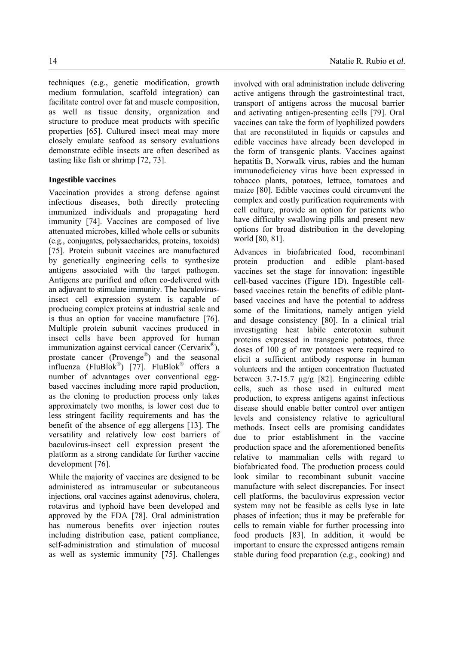techniques (e.g., genetic modification, growth medium formulation, scaffold integration) can facilitate control over fat and muscle composition, as well as tissue density, organization and structure to produce meat products with specific properties [65]. Cultured insect meat may more closely emulate seafood as sensory evaluations demonstrate edible insects are often described as tasting like fish or shrimp [72, 73].

# **Ingestible vaccines**

Vaccination provides a strong defense against infectious diseases, both directly protecting immunized individuals and propagating herd immunity [74]. Vaccines are composed of live attenuated microbes, killed whole cells or subunits (e.g., conjugates, polysaccharides, proteins, toxoids) [75]. Protein subunit vaccines are manufactured by genetically engineering cells to synthesize antigens associated with the target pathogen. Antigens are purified and often co-delivered with an adjuvant to stimulate immunity. The baculovirusinsect cell expression system is capable of producing complex proteins at industrial scale and is thus an option for vaccine manufacture [76]. Multiple protein subunit vaccines produced in insect cells have been approved for human immunization against cervical cancer (Cervarix®), prostate cancer (Provenge®) and the seasonal influenza (FluBlok®) [77]. FluBlok® offers a number of advantages over conventional eggbased vaccines including more rapid production, as the cloning to production process only takes approximately two months, is lower cost due to less stringent facility requirements and has the benefit of the absence of egg allergens [13]. The versatility and relatively low cost barriers of baculovirus-insect cell expression present the platform as a strong candidate for further vaccine development [76].

While the majority of vaccines are designed to be administered as intramuscular or subcutaneous injections, oral vaccines against adenovirus, cholera, rotavirus and typhoid have been developed and approved by the FDA [78]. Oral administration has numerous benefits over injection routes including distribution ease, patient compliance, self-administration and stimulation of mucosal as well as systemic immunity [75]. Challenges involved with oral administration include delivering active antigens through the gastrointestinal tract, transport of antigens across the mucosal barrier and activating antigen-presenting cells [79]. Oral vaccines can take the form of lyophilized powders that are reconstituted in liquids or capsules and edible vaccines have already been developed in the form of transgenic plants. Vaccines against hepatitis B, Norwalk virus, rabies and the human immunodeficiency virus have been expressed in tobacco plants, potatoes, lettuce, tomatoes and maize [80]. Edible vaccines could circumvent the complex and costly purification requirements with cell culture, provide an option for patients who have difficulty swallowing pills and present new options for broad distribution in the developing world [80, 81].

Advances in biofabricated food, recombinant protein production and edible plant-based vaccines set the stage for innovation: ingestible cell-based vaccines (Figure 1D). Ingestible cellbased vaccines retain the benefits of edible plantbased vaccines and have the potential to address some of the limitations, namely antigen yield and dosage consistency [80]. In a clinical trial investigating heat labile enterotoxin subunit proteins expressed in transgenic potatoes, three doses of 100 g of raw potatoes were required to elicit a sufficient antibody response in human volunteers and the antigen concentration fluctuated between 3.7-15.7 μg/g [82]. Engineering edible cells, such as those used in cultured meat production, to express antigens against infectious disease should enable better control over antigen levels and consistency relative to agricultural methods. Insect cells are promising candidates due to prior establishment in the vaccine production space and the aforementioned benefits relative to mammalian cells with regard to biofabricated food. The production process could look similar to recombinant subunit vaccine manufacture with select discrepancies. For insect cell platforms, the baculovirus expression vector system may not be feasible as cells lyse in late phases of infection; thus it may be preferable for cells to remain viable for further processing into food products [83]. In addition, it would be important to ensure the expressed antigens remain stable during food preparation (e.g., cooking) and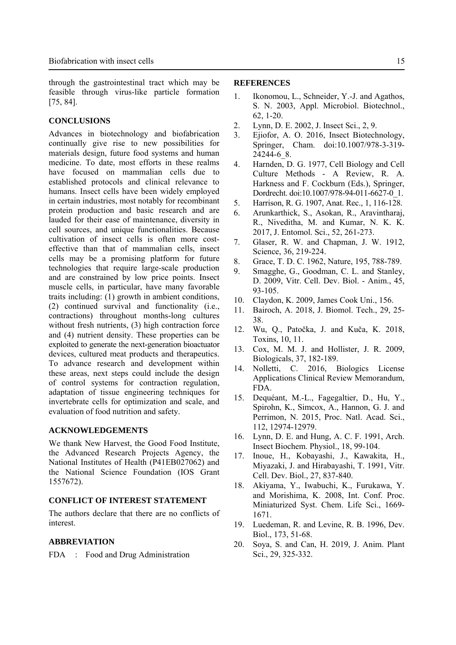through the gastrointestinal tract which may be feasible through virus-like particle formation [75, 84].

## **CONCLUSIONS**

Advances in biotechnology and biofabrication continually give rise to new possibilities for materials design, future food systems and human medicine. To date, most efforts in these realms have focused on mammalian cells due to established protocols and clinical relevance to humans. Insect cells have been widely employed in certain industries, most notably for recombinant protein production and basic research and are lauded for their ease of maintenance, diversity in cell sources, and unique functionalities. Because cultivation of insect cells is often more costeffective than that of mammalian cells, insect cells may be a promising platform for future technologies that require large-scale production and are constrained by low price points. Insect muscle cells, in particular, have many favorable traits including: (1) growth in ambient conditions, (2) continued survival and functionality (i.e., contractions) throughout months-long cultures without fresh nutrients, (3) high contraction force and (4) nutrient density. These properties can be exploited to generate the next-generation bioactuator devices, cultured meat products and therapeutics. To advance research and development within these areas, next steps could include the design of control systems for contraction regulation, adaptation of tissue engineering techniques for invertebrate cells for optimization and scale, and evaluation of food nutrition and safety.

#### **ACKNOWLEDGEMENTS**

We thank New Harvest, the Good Food Institute, the Advanced Research Projects Agency, the National Institutes of Health (P41EB027062) and the National Science Foundation (IOS Grant 1557672).

# **CONFLICT OF INTEREST STATEMENT**

The authors declare that there are no conflicts of interest.

#### **ABBREVIATION**

FDA : Food and Drug Administration

#### **REFERENCES**

- 1. Ikonomou, L., Schneider, Y.-J. and Agathos, S. N. 2003, Appl. Microbiol. Biotechnol., 62, 1-20.
- 2. Lynn, D. E. 2002, J. Insect Sci., 2, 9.
- 3. Ejiofor, A. O. 2016, Insect Biotechnology, Springer, Cham. doi:10.1007/978-3-319- 24244-6\_8.
- 4. Harnden, D. G. 1977, Cell Biology and Cell Culture Methods - A Review, R. A. Harkness and F. Cockburn (Eds.), Springer, Dordrecht. doi:10.1007/978-94-011-6627-0\_1.
- 5. Harrison, R. G. 1907, Anat. Rec., 1, 116-128.
- 6. Arunkarthick, S., Asokan, R., Aravintharaj, R., Niveditha, M. and Kumar, N. K. K. 2017, J. Entomol. Sci., 52, 261-273.
- 7. Glaser, R. W. and Chapman, J. W. 1912, Science, 36, 219-224.
- 8. Grace, T. D. C. 1962, Nature, 195, 788-789.
- 9. Smagghe, G., Goodman, C. L. and Stanley, D. 2009, Vitr. Cell. Dev. Biol. - Anim., 45, 93-105.
- 10. Claydon, K. 2009, James Cook Uni., 156.
- 11. Bairoch, A. 2018, J. Biomol. Tech., 29, 25- 38.
- 12. Wu, Q., Patočka, J. and Kuča, K. 2018, Toxins, 10, 11.
- 13. Cox, M. M. J. and Hollister, J. R. 2009, Biologicals, 37, 182-189.
- 14. Nolletti, C. 2016, Biologics License Applications Clinical Review Memorandum, FDA.
- 15. Dequéant, M.-L., Fagegaltier, D., Hu, Y., Spirohn, K., Simcox, A., Hannon, G. J. and Perrimon, N. 2015, Proc. Natl. Acad. Sci., 112, 12974-12979.
- 16. Lynn, D. E. and Hung, A. C. F. 1991, Arch. Insect Biochem. Physiol., 18, 99-104.
- 17. Inoue, H., Kobayashi, J., Kawakita, H., Miyazaki, J. and Hirabayashi, T. 1991, Vitr. Cell. Dev. Biol., 27, 837-840.
- 18. Akiyama, Y., Iwabuchi, K., Furukawa, Y. and Morishima, K. 2008, Int. Conf. Proc. Miniaturized Syst. Chem. Life Sci., 1669- 1671.
- 19. Luedeman, R. and Levine, R. B. 1996, Dev. Biol., 173, 51-68.
- 20. Soya, S. and Can, H. 2019, J. Anim. Plant Sci., 29, 325-332.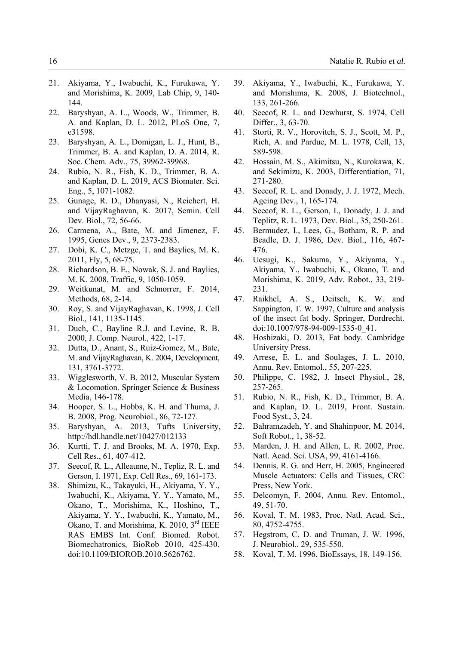- 21. Akiyama, Y., Iwabuchi, K., Furukawa, Y. and Morishima, K. 2009, Lab Chip, 9, 140- 144.
- 22. Baryshyan, A. L., Woods, W., Trimmer, B. A. and Kaplan, D. L. 2012, PLoS One, 7, e31598.
- 23. Baryshyan, A. L., Domigan, L. J., Hunt, B., Trimmer, B. A. and Kaplan, D. A. 2014, R. Soc. Chem. Adv., 75, 39962-39968.
- 24. Rubio, N. R., Fish, K. D., Trimmer, B. A. and Kaplan, D. L. 2019, ACS Biomater. Sci. Eng., 5, 1071-1082.
- 25. Gunage, R. D., Dhanyasi, N., Reichert, H. and VijayRaghavan, K. 2017, Semin. Cell Dev. Biol., 72, 56-66.
- 26. Carmena, A., Bate, M. and Jimenez, F. 1995, Genes Dev., 9, 2373-2383.
- 27. Dobi, K. C., Metzge, T. and Baylies, M. K. 2011, Fly, 5, 68-75.
- 28. Richardson, B. E., Nowak, S. J. and Baylies, M. K. 2008, Traffic, 9, 1050-1059.
- 29. Weitkunat, M. and Schnorrer, F. 2014, Methods, 68, 2-14.
- 30. Roy, S. and VijayRaghavan, K. 1998, J. Cell Biol., 141, 1135-1145.
- 31. Duch, C., Bayline R.J. and Levine, R. B. 2000, J. Comp. Neurol., 422, 1-17.
- 32. Dutta, D., Anant, S., Ruiz-Gomez, M., Bate, M. and VijayRaghavan, K. 2004, Development, 131, 3761-3772.
- 33. Wigglesworth, V. B. 2012, Muscular System & Locomotion. Springer Science & Business Media, 146-178.
- 34. Hooper, S. L., Hobbs, K. H. and Thuma, J. B. 2008, Prog. Neurobiol., 86, 72-127.
- 35. Baryshyan, A. 2013, Tufts University, http://hdl.handle.net/10427/012133
- 36. Kurtti, T. J. and Brooks, M. A. 1970, Exp. Cell Res., 61, 407-412.
- 37. Seecof, R. L., Alleaume, N., Tepliz, R. L. and Gerson, I. 1971, Exp. Cell Res., 69, 161-173.
- 38. Shimizu, K., Takayuki, H., Akiyama, Y. Y., Iwabuchi, K., Akiyama, Y. Y., Yamato, M., Okano, T., Morishima, K., Hoshino, T., Akiyama, Y. Y., Iwabuchi, K., Yamato, M., Okano, T. and Morishima, K. 2010, 3<sup>rd</sup> IEEE RAS EMBS Int. Conf. Biomed. Robot. Biomechatronics, BioRob 2010, 425-430. doi:10.1109/BIOROB.2010.5626762.
- 39. Akiyama, Y., Iwabuchi, K., Furukawa, Y. and Morishima, K. 2008, J. Biotechnol., 133, 261-266.
- 40. Seecof, R. L. and Dewhurst, S. 1974, Cell Differ., 3, 63-70.
- 41. Storti, R. V., Horovitch, S. J., Scott, M. P., Rich, A. and Pardue, M. L. 1978, Cell, 13, 589-598.
- 42. Hossain, M. S., Akimitsu, N., Kurokawa, K. and Sekimizu, K. 2003, Differentiation, 71, 271-280.
- 43. Seecof, R. L. and Donady, J. J. 1972, Mech. Ageing Dev., 1, 165-174.
- 44. Seecof, R. L., Gerson, I., Donady, J. J. and Teplitz, R. L. 1973, Dev. Biol., 35, 250-261.
- 45. Bermudez, I., Lees, G., Botham, R. P. and Beadle, D. J. 1986, Dev. Biol., 116, 467- 476.
- 46. Uesugi, K., Sakuma, Y., Akiyama, Y., Akiyama, Y., Iwabuchi, K., Okano, T. and Morishima, K. 2019, Adv. Robot., 33, 219- 231.
- 47. Raikhel, A. S., Deitsch, K. W. and Sappington, T. W. 1997, Culture and analysis of the insect fat body. Springer, Dordrecht. doi:10.1007/978-94-009-1535-0\_41.
- 48. Hoshizaki, D. 2013, Fat body. Cambridge University Press.
- 49. Arrese, E. L. and Soulages, J. L. 2010, Annu. Rev. Entomol., 55, 207-225.
- 50. Philippe, C. 1982, J. Insect Physiol., 28, 257-265.
- 51. Rubio, N. R., Fish, K. D., Trimmer, B. A. and Kaplan, D. L. 2019, Front. Sustain. Food Syst., 3, 24.
- 52. Bahramzadeh, Y. and Shahinpoor, M. 2014, Soft Robot., 1, 38-52.
- 53. Marden, J. H. and Allen, L. R. 2002, Proc. Natl. Acad. Sci. USA, 99, 4161-4166.
- 54. Dennis, R. G. and Herr, H. 2005, Engineered Muscle Actuators: Cells and Tissues, CRC Press, New York.
- 55. Delcomyn, F. 2004, Annu. Rev. Entomol., 49, 51-70.
- 56. Koval, T. M. 1983, Proc. Natl. Acad. Sci., 80, 4752-4755.
- 57. Hegstrom, C. D. and Truman, J. W. 1996, J. Neurobiol., 29, 535-550.
- 58. Koval, T. M. 1996, BioEssays, 18, 149-156.